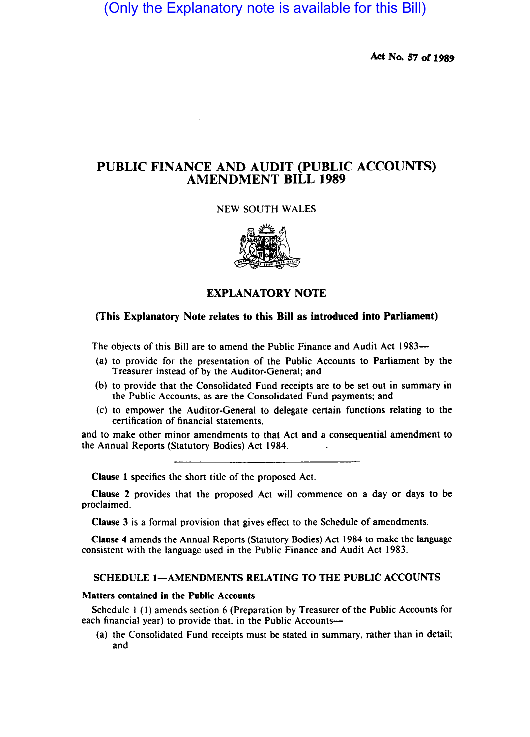(Only the Explanatory note is available for this Bill)

Act No. 57 or 1989

# PUBLIC FINANCE AND AUDIT (PUBLIC ACCOUNTS) AMENDMENT BILL 1989

## NEW SOUTH WALES



## EXPLANATORY NOTE

### (This Explanatory Note relates to this Bill as introduced into Parliament)

The objects of this Bill are to amend the Public Finance and Audit Act 1983—

- (a) to provide for the presentation of the Public Accounts to Parliament by the Treasurer instead of by the Auditor-General; and
- (b) to provide that the Consolidated Fund receipts are to be set out in summary in the Public Accounts, as are the Consolidated Fund payments; and
- (c) to empower the Auditor-General to delegate certain functions relating to the certification of financial statements,

and to make other minor amendments to that Act and a consequential amendment to the Annual Reports (Statutory Bodies) Act 1984.

Clause I specifies the short title of the proposed Act.

Clause 2 provides that the proposed Act will commence on a day or days to be proclaimed.

Clause 3 is a formal provision that gives effect to the Schedule of amendments.

Clause 4 amends the Annual Reports (Statutory Bodies) Act 1984 to make the language consistent with the language used in the Public Finance and Audit Act 1983.

#### SCHEDULE I-AMENDMENTS RELATING TO THE PUBLIC ACCOUNTS

#### Matters contained in the Public Accounts

Schedule I (I) amends section 6 (Preparation by Treasurer of the Public Accounts for each financial year) to provide that, in the Public Accounts-

(a) the Consolidated Fund receipts must be stated in summary. rather than in detail; and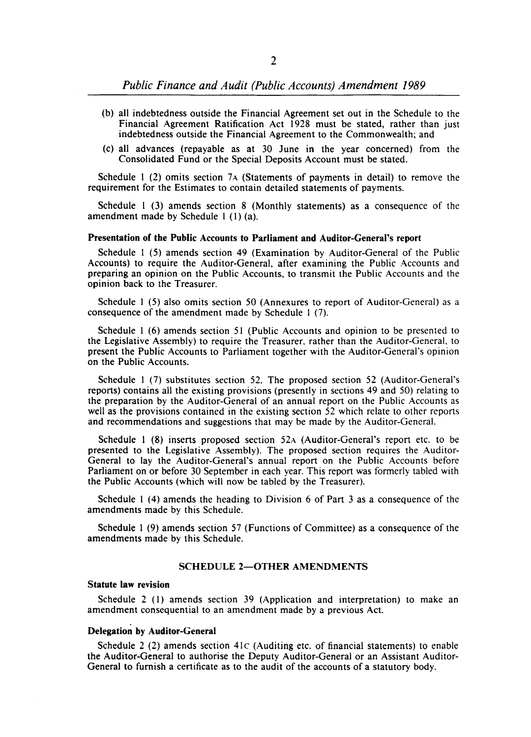- (b) all indebtedness outside the Financial Agreement set out in the Schedule to the Financial Agreement Ratification Act 1928 must be stated, rather than just indebtedness outside the Financial Agreement to the Commonwealth; and
- (c) all advances (repayable as at 30 June in the year concerned) from the Consolidated Fund or the Special Deposits Account must be stated.

Schedule I (2) omits section 7A (Statements of payments in detail) to remove the requirement for the Estimates to contain detailed statements of payments.

Schedule I (3) amends section 8 (Monthly statements) as a consequence of the amendment made by Schedule I (I) (a).

#### Presentation of the Public Accounts to Parliament and Auditor-General's report

Schedule I (5) amends section 49 (Examination by Auditor-General of the Public Accounts) to require the Auditor-General, after examining the Public Accounts and preparing an opinion on the Public Accounts, to transmit the Public Accounts and the opinion back to the Treasurer.

Schedule I (5) also omits section 50 (Annexures to report of Auditor-General) as a consequence of the amendment made by Schedule I (7).

Schedule I (6) amends section 51 (Public Accounts and opinion to be presented to the Legislative Assembly) to require the Treasurer, rather than the Auditor-General, to present the Public Accounts to Parliament together with the Auditor-General's opinion on the Public Accounts.

Schedule 1 (7) substitutes section 52. The proposed section 52 (Auditor-General's reports) contains all the existing provisions (presently in sections 49 and 50) relating to the preparation by the Auditor-General of an annual report on the Public Accounts as well as the provisions contained in the existing section 52 which relate to other reports and recommendations and suggestions that may be made by the Auditor-General.

Schedule  $1$  (8) inserts proposed section 52 $\alpha$  (Auditor-General's report etc. to be presented to the Legislative Assembly). The proposed section requires the Auditor-General to lay the Auditor-General's annual report on the Public Accounts before Parliament on or before 30 September in each year. This report was formerly tabled with the Public Accounts (which will now be tabled by the Treasurer).

Schedule I (4) amends the heading to Division 6 of Part 3 as a consequence of the amendments made by this Schedule.

Schedule I (9) amends section 57 (Functions of Committee) as a consequence of the amendments made by this Schedule.

#### SCHEDULE 2-OTHER AMENDMENTS

#### Statute law revision

Schedule 2 (I) amends section 39 (Application and interpretation) to make an amendment consequential to an amendment made by a previous Act.

#### Delegation by Auditor-General

Schedule 2 (2) amends section  $41C$  (Auditing etc. of financial statements) to enable the Auditor-General to authorise the Deputy Auditor-General or an Assistant Auditor-General to furnish a certificate as to the audit of the accounts of a statutory body.